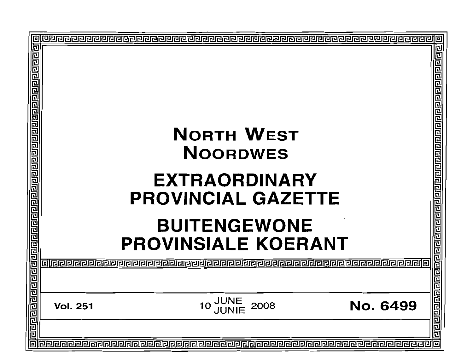|                                                                                                    |                                                                                                                       |                 | o<br>卫  |
|----------------------------------------------------------------------------------------------------|-----------------------------------------------------------------------------------------------------------------------|-----------------|---------|
| <u> ब्रायेब ब्राय ग्रवार नियाय ग्रवार नियाय ग्रवार नियाय ग्रवार नियाय ग्रवार नियाय ग्रवार निया</u> | <b>NORTH WEST</b><br><b>NOORDWES</b>                                                                                  |                 | 리디디     |
|                                                                                                    | <b>EXTRAORDINARY</b><br><b>PROVINCIAL GAZETTE</b>                                                                     |                 |         |
|                                                                                                    | <b>BUITENGEWONE</b><br><b>PROVINSIALE KOERANT</b><br>@@@@@@@@@@@@@@@@@@@@@@@@@@@@@@@@@@@@<br>alieieieieieieieieieieie |                 | 同居      |
|                                                                                                    | <b>JUNE<br/>JUNIE</b><br>2008<br><b>Vol. 251</b>                                                                      | <b>No. 6499</b> |         |
| 同                                                                                                  |                                                                                                                       |                 | 呂呂<br>向 |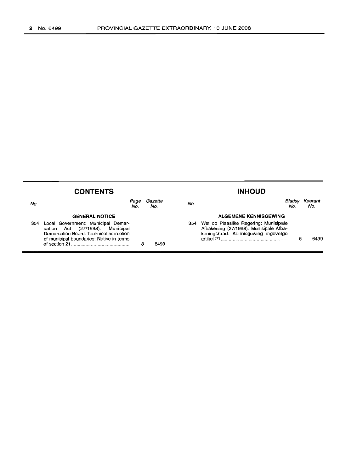| <b>CONTENTS</b> |                                                                                                                                                                 |                |      | <b>INHOUD</b>                                                                                                              |               |                |
|-----------------|-----------------------------------------------------------------------------------------------------------------------------------------------------------------|----------------|------|----------------------------------------------------------------------------------------------------------------------------|---------------|----------------|
| No.             | Page<br>No.                                                                                                                                                     | Gazette<br>No. | No.  |                                                                                                                            | Bladsı<br>No. | Koerant<br>No. |
|                 | <b>GENERAL NOTICE</b>                                                                                                                                           |                |      | ALGEMENE KENNISGEWING                                                                                                      |               |                |
| 354             | Local Government: Municipal Demar-<br>(27/1998): Municipal<br>cation Act<br>Demarcation Board: Technical correction<br>of municipal boundaries: Notice in terms |                | 6499 | 354 Wet op Plaaslike Regering: Munisipale<br>Afbakening (27/1998): Munisipale Afba-<br>keningsraad: Kennisgewing ingevolge |               | 6499           |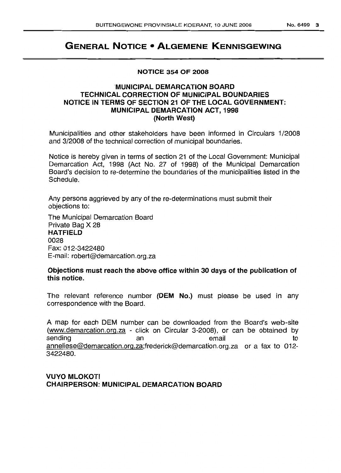# **GENERAL NOTICE • ALGEMENE KENNISGEWING**

#### **NOTICE 354 OF 2008**

# **MUNICIPAL DEMARCATION BOARD TECHNICAL CORRECTION OF MUNICIPAL BOUNDARIES NOTICE IN TERMS OF SECTION 21 OF THE LOCAL GOVERNMENT: MUNICIPAL DEMARCATION ACT, 1998 (North West)**

Municipalities and other stakeholders have been informed in Circulars 1/2008 and 3/2008 of the technical correction of municipal boundaries.

Notice is hereby given in terms of section 21 of the Local Government: Municipal Demarcation Act, 1998 (Act No. 27 of 1998) of the Municipal Demarcation Board's decision to re-determine the boundaries of the municipalities listed in the Schedule.

Any persons aggrieved by any of the re-determinations must submit their objections to:

The Municipal Demarcation Board Private Bag X 28 **HATFIELD** 0028 Fax: 012-3422480 E-mail: robert@demarcation.org.za

# **Objections must reach the above office within 30 days of the publication of this notice.**

The relevant reference number **(OEM No.)** must please be used in any correspondence with the Board.

A map for each DEM number can be downloaded from the Board's web-site (www.demarcation.org.za - click on Circular 3-2008), or can be obtained by sending an an email to anneliese@demarcation.org.za;frederick@demarcation.org.za or a fax to 012- 3422480.

# **VUYO MLOKOTI CHAIRPERSON: MUNICIPAL DEMARCATION BOARD**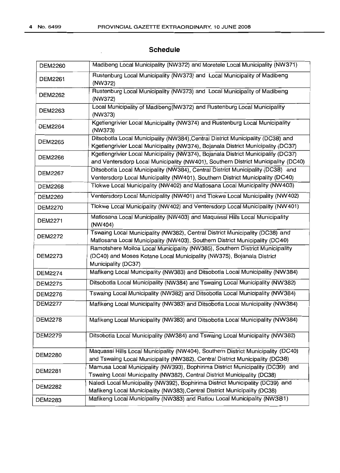# **Schedule**

| <b>DEM2260</b> | Madibeng Local Municipality (NW372) and Moretele Local Municipality (NW371)                                                                                                  |
|----------------|------------------------------------------------------------------------------------------------------------------------------------------------------------------------------|
| DEM2261        | Rustenburg Local Municipality (NW373) and Local Municipality of Madibeng<br>(NW372)                                                                                          |
| <b>DEM2262</b> | Rustenburg Local Municipality (NW373) and Local Municipality of Madibeng<br>(NW372)                                                                                          |
| DEM2263        | Local Municipality of Madibeng(NW372) and Rustenburg Local Municipality<br>(NW373)                                                                                           |
| <b>DEM2264</b> | Kgetlengrivier Local Municipality (NW374) and Rustenburg Local Municipality<br>(NW373)                                                                                       |
| <b>DEM2265</b> | Ditsobotla Local Municipality (NW384), Central District Municipality (DC38) and<br>Kgetlengrivier Local Municipality (NW374), Bojanala District Municipality (DC37)          |
| <b>DEM2266</b> | Kgetlengrivier Local Municipality (NW374), Bojanala District Municipality (DC37)<br>and Ventersdorp Local Municipality (NW401), Southern District Municipality (DC40)        |
| <b>DEM2267</b> | Ditsobotla Local Municipality (NW384), Central District Municipality (DC38) and<br>Ventersdorp Local Municipality (NW401), Southern District Municipality (DC40)             |
| <b>DEM2268</b> | Tlokwe Local Municipality (NW402) and Matlosana Local Municipality (NW403)                                                                                                   |
| <b>DEM2269</b> | Ventersdorp Local Municipality (NW401) and Tlokwe Local Municipality (NW402)                                                                                                 |
| <b>DEM2270</b> | Tlokwe Local Municipality (NW402) and Ventersdorp Local Municipality (NW401)                                                                                                 |
| <b>DEM2271</b> | Matlosana Local Municipality (NW403) and Maquassi Hills Local Municipality<br>(NW404)                                                                                        |
| <b>DEM2272</b> | Tswaing Local Municipality (NW382), Central District Municipality (DC38) and<br>Matlosana Local Municipality (NW403), Southern District Municipality (DC40)                  |
| <b>DEM2273</b> | Ramotshere Moiloa Local Municipality (NW385), Southern District Municipality<br>(DC40) and Moses Kotane Local Municipality (NW375), Bojanala District<br>Municipality (DC37) |
| <b>DEM2274</b> | Mafikeng Local Municipality (NW383) and Ditsobotla Local Municipality (NW384)                                                                                                |
| <b>DEM2275</b> | Ditsobotla Local Municipality (NW384) and Tswaing Local Municipality (NW382)                                                                                                 |
| <b>DEM2276</b> | Tswaing Local Municipality (NW382) and Ditsobotla Local Municipality (NW384)                                                                                                 |
| <b>DEM2277</b> | Mafikeng Local Municipality (NW383) and Ditsobotla Local Municipality (NW384)                                                                                                |
| <b>DEM2278</b> | Mafikeng Local Municipality (NW383) and Ditsobotla Local Municipality (NW384)                                                                                                |
| <b>DEM2279</b> | Ditsobotla Local Municipality (NW384) and Tswaing Local Municipality (NW382)                                                                                                 |
| <b>DEM2280</b> | Maquassi Hills Local Municipality (NW404), Southern District Municipality (DC40)<br>and Tswaing Local Municipality (NW382), Central District Municipality (DC38)             |
| <b>DEM2281</b> | Mamusa Local Municipality (NW393), Bophirima District Municipality (DC39) and<br>Tswaing Local Municipality (NW382), Central District Municipality (DC38)                    |
| <b>DEM2282</b> | Naledi Local Municipality (NW392), Bophirima District Municipality (DC39) and<br>Mafikeng Local Municipality (NW383), Central District Municipality (DC38)                   |
| <b>DEM2283</b> | Mafikeng Local Municipality (NW383) and Ratlou Local Municipality (NW381)                                                                                                    |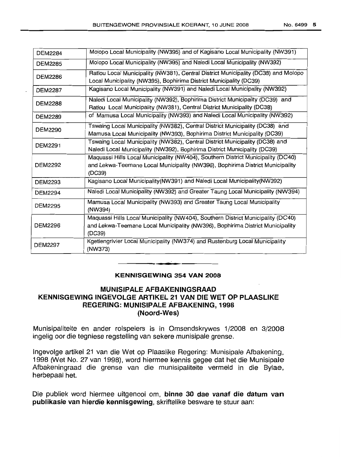| <b>DEM2284</b> | Molopo Local Municipality (NW395) and of Kagisano Local Municipality (NW391)                                                                                                |
|----------------|-----------------------------------------------------------------------------------------------------------------------------------------------------------------------------|
| <b>DEM2285</b> | Molopo Local Municipality (NW395) and Naledi Local Municipality (NW392)                                                                                                     |
| <b>DEM2286</b> | Ratlou Local Municipality (NW381), Central District Municipality (DC38) and Molopo<br>Local Municipality (NW395), Bophirima District Municipality (DC39)                    |
| <b>DEM2287</b> | Kagisano Local Municipality (NW391) and Naledi Local Municipality (NW392)                                                                                                   |
| <b>DEM2288</b> | Naledi Local Municipality (NW392), Bophirima District Municipality (DC39) and<br>Ratlou Local Municipality (NW381), Central District Municipality (DC38)                    |
| <b>DEM2289</b> | of Mamusa Local Municipality (NW393) and Naledi Local Municipality (NW392)                                                                                                  |
| <b>DEM2290</b> | Tswaing Local Municipality (NW382), Central District Municipality (DC38) and<br>Mamusa Local Municipality (NW393), Bophirima District Municipality (DC39)                   |
| <b>DEM2291</b> | Tswaing Local Municipality (NW382), Central District Municipality (DC38) and<br>Naledi Local Municipality (NW392), Bophirima District Municipality (DC39)                   |
| <b>DEM2292</b> | Maquassi Hills Local Municipality (NW404), Southern District Municipality (DC40)<br>and Lekwa-Teemane Local Municipality (NW396), Bophirima District Municipality<br>(DC39) |
| <b>DEM2293</b> | Kagisano Local Municipality(NW391) and Naledi Local Municipality(NW392)                                                                                                     |
| <b>DEM2294</b> | Naledi Local Municipality (NW392) and Greater Taung Local Municipality (NW394)                                                                                              |
| <b>DEM2295</b> | Mamusa Local Municipality (NW393) and Greater Taung Local Municipality<br>(NW394)                                                                                           |
| DEM2296        | Maquassi Hills Local Municipality (NW404), Southern District Municipality (DC40)<br>and Lekwa-Teemane Local Municipality (NW396), Bophirima District Municipality<br>(DC39) |
| <b>DEM2297</b> | Kgetlengrivier Local Municipality (NW374) and Rustenburg Local Municipality<br>(NW373)                                                                                      |

#### **KENNISGEWING 354 VAN 2008**

**• •**

#### **MUNISIPALE AFBAKENINGSRAAD KENNISGEWING INGEVOLGE ARTIKEL 21 VAN DIE WET OP PLAASUKE REGERING: MUNISIPALE AFBAKENING, 1998 (Noord-Wes)**

Munisipaliteite en ander rolspelers is in Omsendskrywes 1/2008 en 3/2008 ingelig oor die tegniese regstelling van sekere munisipale grense.

Ingevolge artikel 21 van die Wet op Plaaslike Regering: Munisipale Afbakening, 1998 *0/Vet* No. 27 van 1998), word hiermee kennis gegee dat het die Munisipale Afbakeningraad die grense van die munisipaliteite vermeld in die Bylae, herbepaal het.

Die publiek word hiermee uitgenooi om, **binne 30 dae vanaf die datum van publikasie van hierdie kennisgewing,** skriftelike besware te stuur aan: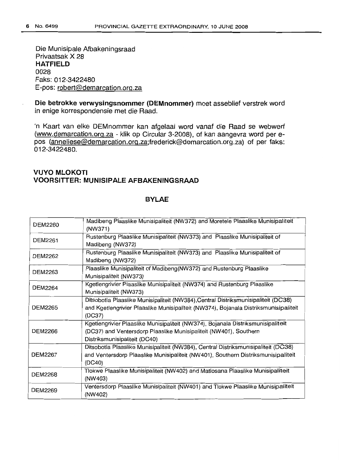Die Munisipale Afbakeningsraad Privaatsak X 28 **HATFIELD** 0028 Faks: 012-3422480 E-pos: robert@demarcation.org.za

**Die betrokke verwysingsnommer (DEMnommer)** moet asseblief verstrek word in enige korrespondensie met die Raad.

In Kaart van elke DEMnommer kan afgelaai word vanaf die Raad se webwerf (www.demarcation.org.za - klik op Circular 3-2008), of kan aangevra word per epos (anneliese@demarcation.org.za;frederick@demarcation.org.za) of per faks: 012-3422480.

# **VUYO MLOKOTI VOORSITTER: MUNISIPALE AFBAKENINGSRAAD**

#### **BYLAE**

| <b>DEM2260</b> | Madibeng Plaaslike Munisipaliteit (NW372) and Moretele Plaaslike Munisipaliteit<br>(NW371) |
|----------------|--------------------------------------------------------------------------------------------|
| <b>DEM2261</b> | Rustenburg Plaaslike Munisipaliteit (NW373) and Plaaslike Munisipaliteit of                |
|                | Madibeng (NW372)                                                                           |
| DEM2262        | Rustenburg Plaaslike Munisipaliteit (NW373) and Plaaslike Munisipaliteit of                |
|                | Madibeng (NW372)                                                                           |
| DEM2263        | Plaaslike Munisipaliteit of Madibeng(NW372) and Rustenburg Plaaslike                       |
|                | Munisipaliteit (NW373)                                                                     |
| <b>DEM2264</b> | Kgetlengrivier Plaaslike Munisipaliteit (NW374) and Rustenburg Plaaslike                   |
|                | Munisipaliteit (NW373)                                                                     |
|                | Ditsobotla Plaaslike Munisipaliteit (NW384), Central Distriksmunisipaliteit (DC38)         |
| <b>DEM2265</b> | and Kgetlengrivier Plaaslike Munisipaliteit (NW374), Bojanala Distriksmunisipaliteit       |
|                | (DC37)                                                                                     |
|                | Kgetlengrivier Plaaslike Munisipaliteit (NW374), Bojanala Distriksmunisipaliteit           |
| <b>DEM2266</b> | (DC37) and Ventersdorp Plaaslike Munisipaliteit (NW401), Southern                          |
|                | Distriksmunisipaliteit (DC40)                                                              |
|                | Ditsobotla Plaaslike Munisipaliteit (NW384), Central Distriksmunisipaliteit (DC38)         |
| <b>DEM2267</b> | and Ventersdorp Plaaslike Munisipaliteit (NW401), Southern Distriksmunisipaliteit          |
|                | (DC40)                                                                                     |
| DEM2268        | Tlokwe Plaaslike Munisipaliteit (NW402) and Matlosana Plaaslike Munisipaliteit             |
|                | (NW403)                                                                                    |
|                | Ventersdorp Plaaslike Munisipaliteit (NW401) and Tlokwe Plaaslike Munisipaliteit           |
| <b>DEM2269</b> | (NW402)                                                                                    |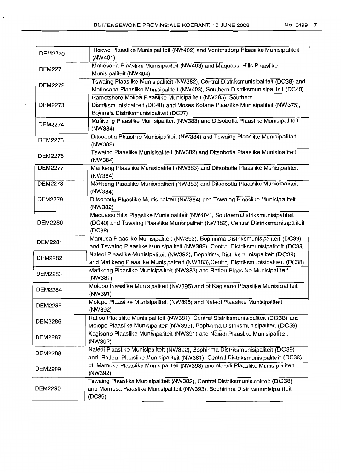$\cdot$ 

| <b>DEM2270</b> | Tlokwe Plaaslike Munisipaliteit (NW402) and Ventersdorp Plaaslike Munisipaliteit<br>(NW401)                                                                                                |
|----------------|--------------------------------------------------------------------------------------------------------------------------------------------------------------------------------------------|
| <b>DEM2271</b> | Matlosana Plaaslike Munisipaliteit (NW403) and Maquassi Hills Plaaslike<br>Munisipaliteit (NW404)                                                                                          |
| <b>DEM2272</b> | Tswaing Plaaslike Munisipaliteit (NW382), Central Distriksmunisipaliteit (DC38) and<br>Matlosana Plaaslike Munisipaliteit (NW403), Southern Distriksmunisipaliteit (DC40)                  |
| <b>DEM2273</b> | Ramotshere Moiloa Plaaslike Munisipaliteit (NW385), Southern<br>Distriksmunisipaliteit (DC40) and Moses Kotane Plaaslike Munisipaliteit (NW375),<br>Bojanala Distriksmunisipaliteit (DC37) |
| <b>DEM2274</b> | Mafikeng Plaaslike Munisipaliteit (NW383) and Ditsobotla Plaaslike Munisipaliteit<br>(NW384)                                                                                               |
| <b>DEM2275</b> | Ditsobotla Plaaslike Munisipaliteit (NW384) and Tswaing Plaaslike Munisipaliteit<br>(NW382)                                                                                                |
| <b>DEM2276</b> | Tswaing Plaaslike Munisipaliteit (NW382) and Ditsobotla Plaaslike Munisipaliteit<br>(NW384)                                                                                                |
| <b>DEM2277</b> | Mafikeng Plaaslike Munisipaliteit (NW383) and Ditsobotla Plaaslike Munisipaliteit<br>(NW384)                                                                                               |
| <b>DEM2278</b> | Mafikeng Plaaslike Munisipaliteit (NW383) and Ditsobotla Plaaslike Munisipaliteit<br>(NW384)                                                                                               |
| <b>DEM2279</b> | Ditsobotla Plaaslike Munisipaliteit (NW384) and Tswaing Plaaslike Munisipaliteit<br>(NW382)                                                                                                |
| <b>DEM2280</b> | Maquassi Hills Plaaslike Munisipaliteit (NW404), Southern Distriksmunisipaliteit<br>(DC40) and Tswaing Plaaslike Munisipaliteit (NW382), Central Distriksmunisipaliteit<br>(DC38)          |
| <b>DEM2281</b> | Mamusa Plaaslike Munisipaliteit (NW393), Bophirima Distriksmunisipaliteit (DC39)<br>and Tswaing Plaaslike Munisipaliteit (NW382), Central Distriksmunisipaliteit (DC38)                    |
| <b>DEM2282</b> | Naledi Plaaslike Munisipaliteit (NW392), Bophirima Distriksmunisipaliteit (DC39)<br>and Mafikeng Plaaslike Munisipaliteit (NW383), Central Distriksmunisipaliteit (DC38)                   |
| <b>DEM2283</b> | Mafikeng Plaaslike Munisipaliteit (NW383) and Ratlou Plaaslike Munisipaliteit<br>(NW381)                                                                                                   |
| <b>DEM2284</b> | Molopo Plaaslike Munisipaliteit (NW395) and of Kagisano Plaaslike Munisipaliteit<br>(NW391)                                                                                                |
| <b>DEM2285</b> | Molopo Plaaslike Munisipaliteit (NW395) and Naledi Plaaslike Munisipaliteit<br>(NW392)                                                                                                     |
| <b>DEM2286</b> | Ratlou Plaaslike Munisipaliteit (NW381), Central Distriksmunisipaliteit (DC38) and<br>Molopo Plaaslike Munisipaliteit (NW395), Bophirima Distriksmunisipaliteit (DC39)                     |
| <b>DEM2287</b> | Kagisano Plaaslike Munisipaliteit (NW391) and Naledi Plaaslike Munisipaliteit<br>(NW392)                                                                                                   |
| <b>DEM2288</b> | Naledi Plaaslike Munisipaliteit (NW392), Bophirima Distriksmunisipaliteit (DC39)<br>and Ratlou Plaaslike Munisipaliteit (NW381), Central Distriksmunisipaliteit (DC38)                     |
| <b>DEM2289</b> | of Mamusa Plaaslike Munisipaliteit (NW393) and Naledi Plaaslike Munisipaliteit<br>(NW392)                                                                                                  |
| <b>DEM2290</b> | Tswaing Plaaslike Munisipaliteit (NW382), Central Distriksmunisipaliteit (DC38)<br>and Mamusa Plaaslike Munisipaliteit (NW393), Bophirima Distriksmunisipaliteit<br>(DC39)                 |